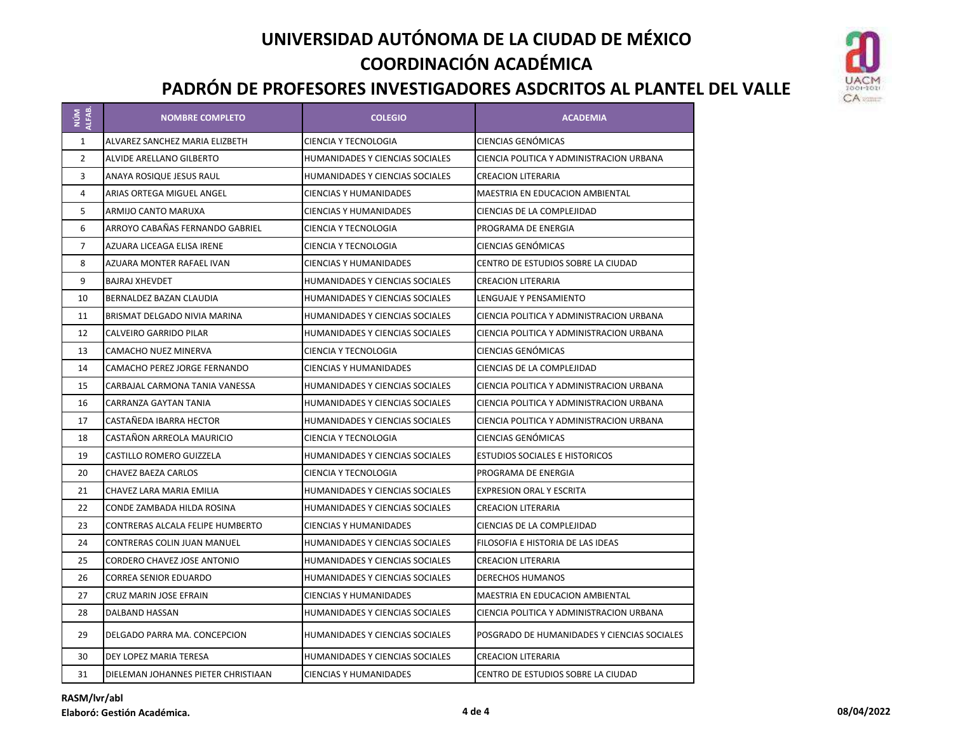

| NÚM<br>ALFAB.  | <b>NOMBRE COMPLETO</b>              | <b>COLEGIO</b>                         | <b>ACADEMIA</b>                             |
|----------------|-------------------------------------|----------------------------------------|---------------------------------------------|
| $\mathbf{1}$   | ALVAREZ SANCHEZ MARIA ELIZBETH      | <b>CIENCIA Y TECNOLOGIA</b>            | CIENCIAS GENÓMICAS                          |
| $\overline{2}$ | ALVIDE ARELLANO GILBERTO            | HUMANIDADES Y CIENCIAS SOCIALES        | CIENCIA POLITICA Y ADMINISTRACION URBANA    |
| 3              | ANAYA ROSIQUE JESUS RAUL            | HUMANIDADES Y CIENCIAS SOCIALES        | CREACION LITERARIA                          |
| 4              | <b>ARIAS ORTEGA MIGUEL ANGEL</b>    | <b>CIENCIAS Y HUMANIDADES</b>          | MAESTRIA EN EDUCACION AMBIENTAL             |
| 5              | ARMIJO CANTO MARUXA                 | <b>CIENCIAS Y HUMANIDADES</b>          | CIENCIAS DE LA COMPLEJIDAD                  |
| 6              | ARROYO CABAÑAS FERNANDO GABRIEL     | CIENCIA Y TECNOLOGIA                   | PROGRAMA DE ENERGIA                         |
| $\overline{7}$ | AZUARA LICEAGA ELISA IRENE          | CIENCIA Y TECNOLOGIA                   | CIENCIAS GENÓMICAS                          |
| 8              | AZUARA MONTER RAFAEL IVAN           | <b>CIENCIAS Y HUMANIDADES</b>          | CENTRO DE ESTUDIOS SOBRE LA CIUDAD          |
| 9              | <b>BAJRAJ XHEVDET</b>               | <b>HUMANIDADES Y CIENCIAS SOCIALES</b> | <b>CREACION LITERARIA</b>                   |
| 10             | BERNALDEZ BAZAN CLAUDIA             | HUMANIDADES Y CIENCIAS SOCIALES        | LENGUAJE Y PENSAMIENTO                      |
| 11             | BRISMAT DELGADO NIVIA MARINA        | HUMANIDADES Y CIENCIAS SOCIALES        | CIENCIA POLITICA Y ADMINISTRACION URBANA    |
| 12             | CALVEIRO GARRIDO PILAR              | <b>HUMANIDADES Y CIENCIAS SOCIALES</b> | CIENCIA POLITICA Y ADMINISTRACION URBANA    |
| 13             | CAMACHO NUEZ MINERVA                | CIENCIA Y TECNOLOGIA                   | CIENCIAS GENÓMICAS                          |
| 14             | CAMACHO PEREZ JORGE FERNANDO        | <b>CIENCIAS Y HUMANIDADES</b>          | CIENCIAS DE LA COMPLEJIDAD                  |
| 15             | CARBAJAL CARMONA TANIA VANESSA      | HUMANIDADES Y CIENCIAS SOCIALES        | CIENCIA POLITICA Y ADMINISTRACION URBANA    |
| 16             | CARRANZA GAYTAN TANIA               | <b>HUMANIDADES Y CIENCIAS SOCIALES</b> | CIENCIA POLITICA Y ADMINISTRACION URBANA    |
| 17             | CASTAÑEDA IBARRA HECTOR             | <b>HUMANIDADES Y CIENCIAS SOCIALES</b> | CIENCIA POLITICA Y ADMINISTRACION URBANA    |
| 18             | CASTAÑON ARREOLA MAURICIO           | CIENCIA Y TECNOLOGIA                   | CIENCIAS GENÓMICAS                          |
| 19             | CASTILLO ROMERO GUIZZELA            | HUMANIDADES Y CIENCIAS SOCIALES        | <b>ESTUDIOS SOCIALES E HISTORICOS</b>       |
| 20             | CHAVEZ BAEZA CARLOS                 | CIENCIA Y TECNOLOGIA                   | PROGRAMA DE ENERGIA                         |
| 21             | CHAVEZ LARA MARIA EMILIA            | <b>HUMANIDADES Y CIENCIAS SOCIALES</b> | <b>EXPRESION ORAL Y ESCRITA</b>             |
| 22             | CONDE ZAMBADA HILDA ROSINA          | HUMANIDADES Y CIENCIAS SOCIALES        | CREACION LITERARIA                          |
| 23             | CONTRERAS ALCALA FELIPE HUMBERTO    | <b>CIENCIAS Y HUMANIDADES</b>          | CIENCIAS DE LA COMPLEJIDAD                  |
| 24             | CONTRERAS COLIN JUAN MANUEL         | HUMANIDADES Y CIENCIAS SOCIALES        | FILOSOFIA E HISTORIA DE LAS IDEAS           |
| 25             | <b>CORDERO CHAVEZ JOSE ANTONIO</b>  | HUMANIDADES Y CIENCIAS SOCIALES        | <b>CREACION LITERARIA</b>                   |
| 26             | CORREA SENIOR EDUARDO               | HUMANIDADES Y CIENCIAS SOCIALES        | DERECHOS HUMANOS                            |
| 27             | CRUZ MARIN JOSE EFRAIN              | <b>CIENCIAS Y HUMANIDADES</b>          | MAESTRIA EN EDUCACION AMBIENTAL             |
| 28             | DALBAND HASSAN                      | HUMANIDADES Y CIENCIAS SOCIALES        | CIENCIA POLITICA Y ADMINISTRACION URBANA    |
| 29             | DELGADO PARRA MA. CONCEPCION        | <b>HUMANIDADES Y CIENCIAS SOCIALES</b> | POSGRADO DE HUMANIDADES Y CIENCIAS SOCIALES |
| 30             | DEY LOPEZ MARIA TERESA              | <b>HUMANIDADES Y CIENCIAS SOCIALES</b> | <b>CREACION LITERARIA</b>                   |
| 31             | DIELEMAN JOHANNES PIETER CHRISTIAAN | <b>CIENCIAS Y HUMANIDADES</b>          | CENTRO DE ESTUDIOS SOBRE LA CIUDAD          |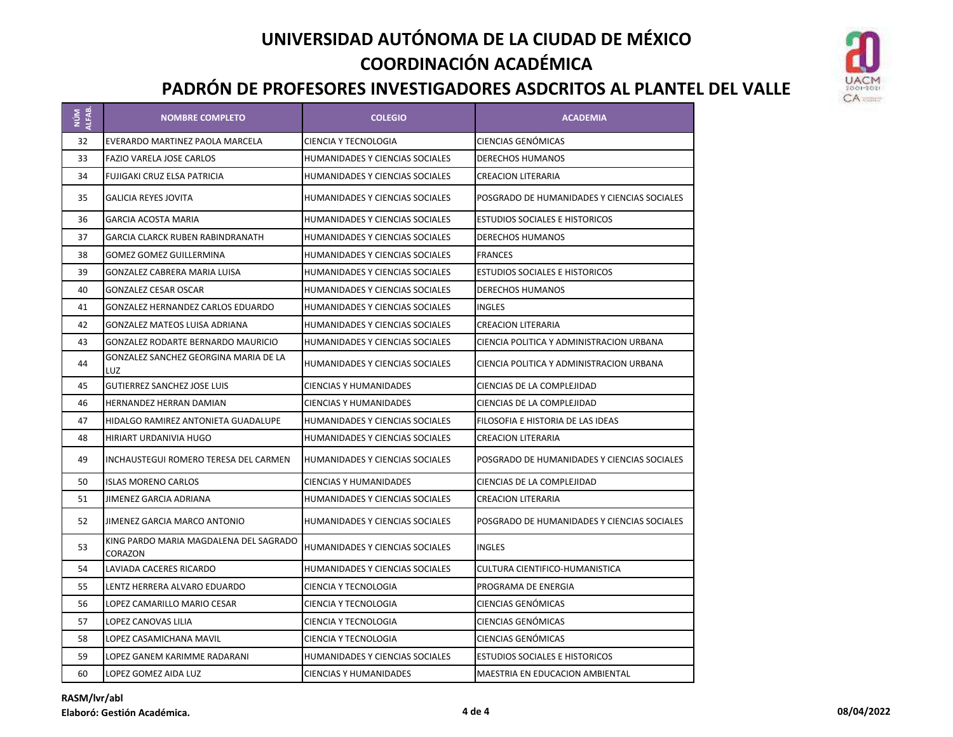

| NÚM<br>ALFAB. | <b>NOMBRE COMPLETO</b>                            | <b>COLEGIO</b>                         | <b>ACADEMIA</b>                             |
|---------------|---------------------------------------------------|----------------------------------------|---------------------------------------------|
| 32            | EVERARDO MARTINEZ PAOLA MARCELA                   | CIENCIA Y TECNOLOGIA                   | CIENCIAS GENÓMICAS                          |
| 33            | <b>FAZIO VARELA JOSE CARLOS</b>                   | HUMANIDADES Y CIENCIAS SOCIALES        | <b>DERECHOS HUMANOS</b>                     |
| 34            | FUJIGAKI CRUZ ELSA PATRICIA                       | HUMANIDADES Y CIENCIAS SOCIALES        | CREACION LITERARIA                          |
| 35            | <b>GALICIA REYES JOVITA</b>                       | HUMANIDADES Y CIENCIAS SOCIALES        | POSGRADO DE HUMANIDADES Y CIENCIAS SOCIALES |
| 36            | <b>GARCIA ACOSTA MARIA</b>                        | HUMANIDADES Y CIENCIAS SOCIALES        | <b>ESTUDIOS SOCIALES E HISTORICOS</b>       |
| 37            | GARCIA CLARCK RUBEN RABINDRANATH                  | HUMANIDADES Y CIENCIAS SOCIALES        | <b>DERECHOS HUMANOS</b>                     |
| 38            | <b>GOMEZ GOMEZ GUILLERMINA</b>                    | <b>HUMANIDADES Y CIENCIAS SOCIALES</b> | <b>FRANCES</b>                              |
| 39            | <b>GONZALEZ CABRERA MARIA LUISA</b>               | <b>HUMANIDADES Y CIENCIAS SOCIALES</b> | <b>ESTUDIOS SOCIALES E HISTORICOS</b>       |
| 40            | <b>GONZALEZ CESAR OSCAR</b>                       | HUMANIDADES Y CIENCIAS SOCIALES        | DERECHOS HUMANOS                            |
| 41            | GONZALEZ HERNANDEZ CARLOS EDUARDO                 | HUMANIDADES Y CIENCIAS SOCIALES        | <b>INGLES</b>                               |
| 42            | <b>GONZALEZ MATEOS LUISA ADRIANA</b>              | <b>HUMANIDADES Y CIENCIAS SOCIALES</b> | <b>CREACION LITERARIA</b>                   |
| 43            | <b>GONZALEZ RODARTE BERNARDO MAURICIO</b>         | <b>HUMANIDADES Y CIENCIAS SOCIALES</b> | CIENCIA POLITICA Y ADMINISTRACION URBANA    |
| 44            | GONZALEZ SANCHEZ GEORGINA MARIA DE LA<br>LUZ      | HUMANIDADES Y CIENCIAS SOCIALES        | CIENCIA POLITICA Y ADMINISTRACION URBANA    |
| 45            | <b>GUTIERREZ SANCHEZ JOSE LUIS</b>                | <b>CIENCIAS Y HUMANIDADES</b>          | CIENCIAS DE LA COMPLEJIDAD                  |
| 46            | <b>HERNANDEZ HERRAN DAMIAN</b>                    | <b>CIENCIAS Y HUMANIDADES</b>          | CIENCIAS DE LA COMPLEJIDAD                  |
| 47            | HIDALGO RAMIREZ ANTONIETA GUADALUPE               | HUMANIDADES Y CIENCIAS SOCIALES        | FILOSOFIA E HISTORIA DE LAS IDEAS           |
| 48            | HIRIART URDANIVIA HUGO                            | HUMANIDADES Y CIENCIAS SOCIALES        | <b>CREACION LITERARIA</b>                   |
| 49            | INCHAUSTEGUI ROMERO TERESA DEL CARMEN             | HUMANIDADES Y CIENCIAS SOCIALES        | POSGRADO DE HUMANIDADES Y CIENCIAS SOCIALES |
| 50            | <b>ISLAS MORENO CARLOS</b>                        | <b>CIENCIAS Y HUMANIDADES</b>          | CIENCIAS DE LA COMPLEJIDAD                  |
| 51            | <b>JIMENEZ GARCIA ADRIANA</b>                     | <b>HUMANIDADES Y CIENCIAS SOCIALES</b> | <b>CREACION LITERARIA</b>                   |
| 52            | JIMENEZ GARCIA MARCO ANTONIO                      | HUMANIDADES Y CIENCIAS SOCIALES        | POSGRADO DE HUMANIDADES Y CIENCIAS SOCIALES |
| 53            | KING PARDO MARIA MAGDALENA DEL SAGRADO<br>CORAZON | HUMANIDADES Y CIENCIAS SOCIALES        | <b>INGLES</b>                               |
| 54            | LAVIADA CACERES RICARDO                           | <b>HUMANIDADES Y CIENCIAS SOCIALES</b> | CULTURA CIENTIFICO-HUMANISTICA              |
| 55            | LENTZ HERRERA ALVARO EDUARDO                      | CIENCIA Y TECNOLOGIA                   | PROGRAMA DE ENERGIA                         |
| 56            | LOPEZ CAMARILLO MARIO CESAR                       | <b>CIENCIA Y TECNOLOGIA</b>            | CIENCIAS GENÓMICAS                          |
| 57            | LOPEZ CANOVAS LILIA                               | <b>CIENCIA Y TECNOLOGIA</b>            | CIENCIAS GENÓMICAS                          |
| 58            | LOPEZ CASAMICHANA MAVIL                           | <b>CIENCIA Y TECNOLOGIA</b>            | CIENCIAS GENÓMICAS                          |
| 59            | LOPEZ GANEM KARIMME RADARANI                      | HUMANIDADES Y CIENCIAS SOCIALES        | <b>ESTUDIOS SOCIALES E HISTORICOS</b>       |
| 60            | LOPEZ GOMEZ AIDA LUZ                              | <b>CIENCIAS Y HUMANIDADES</b>          | <b>MAESTRIA EN EDUCACION AMBIENTAL</b>      |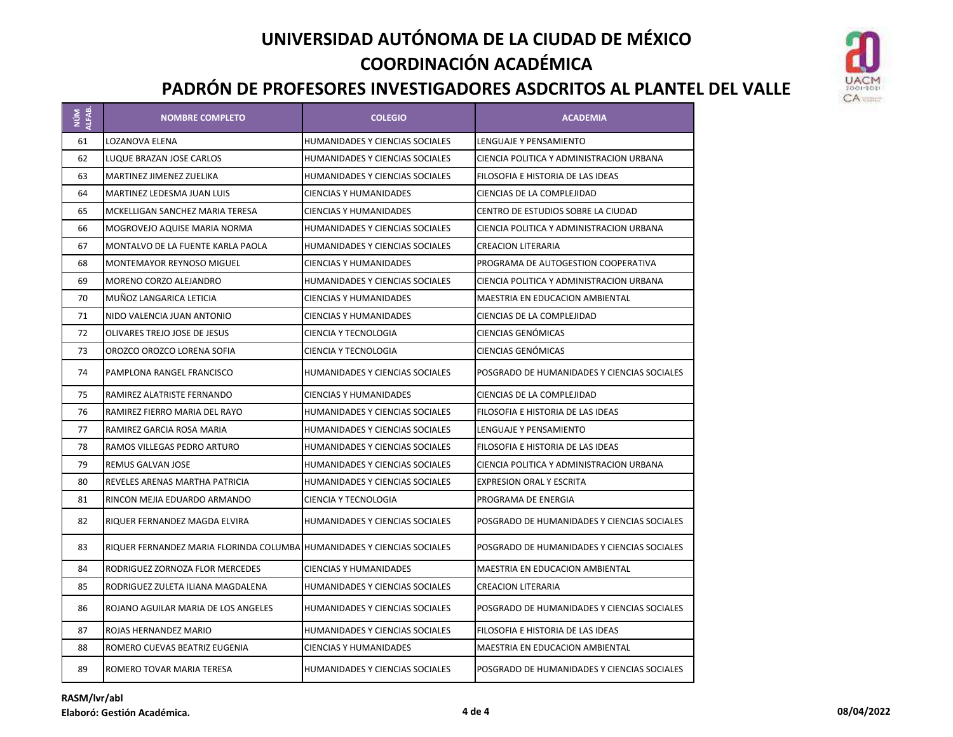

| ALFAB.<br>$\frac{1}{2}$ | <b>NOMBRE COMPLETO</b>                  | <b>COLEGIO</b>                         | <b>ACADEMIA</b>                             |
|-------------------------|-----------------------------------------|----------------------------------------|---------------------------------------------|
| 61                      | LOZANOVA ELENA                          | HUMANIDADES Y CIENCIAS SOCIALES        | LENGUAJE Y PENSAMIENTO                      |
| 62                      | LUQUE BRAZAN JOSE CARLOS                | HUMANIDADES Y CIENCIAS SOCIALES        | CIENCIA POLITICA Y ADMINISTRACION URBANA    |
| 63                      | <b>MARTINEZ JIMENEZ ZUELIKA</b>         | HUMANIDADES Y CIENCIAS SOCIALES        | FILOSOFIA E HISTORIA DE LAS IDEAS           |
| 64                      | MARTINEZ LEDESMA JUAN LUIS              | <b>CIENCIAS Y HUMANIDADES</b>          | CIENCIAS DE LA COMPLEJIDAD                  |
| 65                      | MCKELLIGAN SANCHEZ MARIA TERESA         | <b>CIENCIAS Y HUMANIDADES</b>          | CENTRO DE ESTUDIOS SOBRE LA CIUDAD          |
| 66                      | MOGROVEJO AQUISE MARIA NORMA            | HUMANIDADES Y CIENCIAS SOCIALES        | CIENCIA POLITICA Y ADMINISTRACION URBANA    |
| 67                      | MONTALVO DE LA FUENTE KARLA PAOLA       | HUMANIDADES Y CIENCIAS SOCIALES        | <b>CREACION LITERARIA</b>                   |
| 68                      | MONTEMAYOR REYNOSO MIGUEL               | <b>CIENCIAS Y HUMANIDADES</b>          | PROGRAMA DE AUTOGESTION COOPERATIVA         |
| 69                      | MORENO CORZO ALEJANDRO                  | HUMANIDADES Y CIENCIAS SOCIALES        | CIENCIA POLITICA Y ADMINISTRACION URBANA    |
| 70                      | MUÑOZ LANGARICA LETICIA                 | <b>CIENCIAS Y HUMANIDADES</b>          | MAESTRIA EN EDUCACION AMBIENTAL             |
| 71                      | NIDO VALENCIA JUAN ANTONIO              | <b>CIENCIAS Y HUMANIDADES</b>          | CIENCIAS DE LA COMPLEJIDAD                  |
| 72                      | OLIVARES TREJO JOSE DE JESUS            | CIENCIA Y TECNOLOGIA                   | CIENCIAS GENÓMICAS                          |
| 73                      | OROZCO OROZCO LORENA SOFIA              | CIENCIA Y TECNOLOGIA                   | CIENCIAS GENÓMICAS                          |
| 74                      | PAMPLONA RANGEL FRANCISCO               | HUMANIDADES Y CIENCIAS SOCIALES        | POSGRADO DE HUMANIDADES Y CIENCIAS SOCIALES |
| 75                      | RAMIREZ ALATRISTE FERNANDO              | <b>CIENCIAS Y HUMANIDADES</b>          | CIENCIAS DE LA COMPLEJIDAD                  |
| 76                      | RAMIREZ FIERRO MARIA DEL RAYO           | HUMANIDADES Y CIENCIAS SOCIALES        | FILOSOFIA E HISTORIA DE LAS IDEAS           |
| 77                      | RAMIREZ GARCIA ROSA MARIA               | HUMANIDADES Y CIENCIAS SOCIALES        | LENGUAJE Y PENSAMIENTO                      |
| 78                      | RAMOS VILLEGAS PEDRO ARTURO             | <b>HUMANIDADES Y CIENCIAS SOCIALES</b> | FILOSOFIA E HISTORIA DE LAS IDEAS           |
| 79                      | REMUS GALVAN JOSE                       | HUMANIDADES Y CIENCIAS SOCIALES        | CIENCIA POLITICA Y ADMINISTRACION URBANA    |
| 80                      | REVELES ARENAS MARTHA PATRICIA          | HUMANIDADES Y CIENCIAS SOCIALES        | EXPRESION ORAL Y ESCRITA                    |
| 81                      | RINCON MEJIA EDUARDO ARMANDO            | CIENCIA Y TECNOLOGIA                   | PROGRAMA DE ENERGIA                         |
| 82                      | RIQUER FERNANDEZ MAGDA ELVIRA           | HUMANIDADES Y CIENCIAS SOCIALES        | POSGRADO DE HUMANIDADES Y CIENCIAS SOCIALES |
| 83                      | RIQUER FERNANDEZ MARIA FLORINDA COLUMBA | <b>HUMANIDADES Y CIENCIAS SOCIALES</b> | POSGRADO DE HUMANIDADES Y CIENCIAS SOCIALES |
| 84                      | RODRIGUEZ ZORNOZA FLOR MERCEDES         | <b>CIENCIAS Y HUMANIDADES</b>          | <b>MAESTRIA EN EDUCACION AMBIENTAL</b>      |
| 85                      | RODRIGUEZ ZULETA ILIANA MAGDALENA       | <b>HUMANIDADES Y CIENCIAS SOCIALES</b> | <b>CREACION LITERARIA</b>                   |
| 86                      | ROJANO AGUILAR MARIA DE LOS ANGELES     | HUMANIDADES Y CIENCIAS SOCIALES        | POSGRADO DE HUMANIDADES Y CIENCIAS SOCIALES |
| 87                      | ROJAS HERNANDEZ MARIO                   | <b>HUMANIDADES Y CIENCIAS SOCIALES</b> | FILOSOFIA E HISTORIA DE LAS IDEAS           |
| 88                      | ROMERO CUEVAS BEATRIZ EUGENIA           | <b>CIENCIAS Y HUMANIDADES</b>          | MAESTRIA EN EDUCACION AMBIENTAL             |
| 89                      | ROMERO TOVAR MARIA TERESA               | HUMANIDADES Y CIENCIAS SOCIALES        | POSGRADO DE HUMANIDADES Y CIENCIAS SOCIALES |